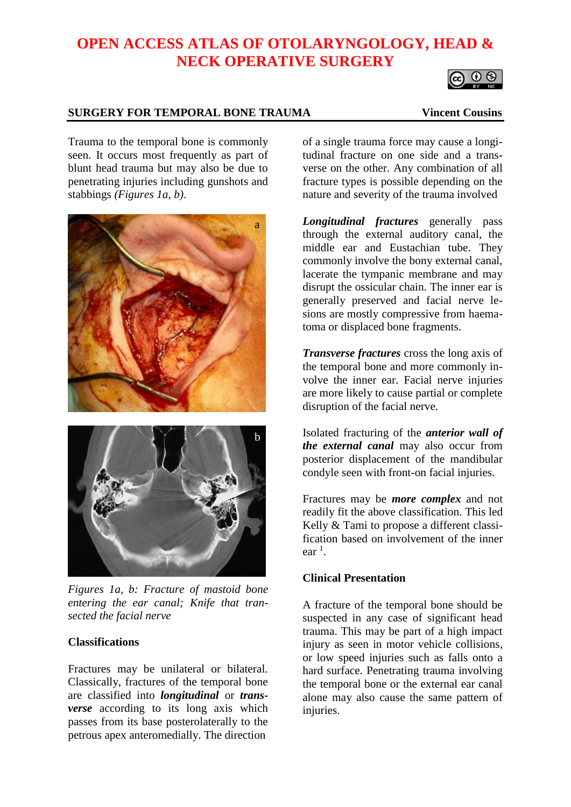# **OPEN ACCESS ATLAS OF OTOLARYNGOLOGY, HEAD & NECK OPERATIVE SURGERY**

a

# O O

# **SURGERY FOR TEMPORAL BONE TRAUMA Vincent Cousins**

Trauma to the temporal bone is commonly seen. It occurs most frequently as part of blunt head trauma but may also be due to penetrating injuries including gunshots and stabbings *(Figures 1a, b)*.



*Figures 1a, b: Fracture of mastoid bone* 

*entering the ear canal; Knife that transected the facial nerve*

# **Classifications**

Fractures may be unilateral or bilateral. Classically, fractures of the temporal bone are classified into *longitudinal* or *transverse* according to its long axis which passes from its base posterolaterally to the petrous apex anteromedially. The direction

of a single trauma force may cause a longitudinal fracture on one side and a transverse on the other. Any combination of all fracture types is possible depending on the nature and severity of the trauma involved

*Longitudinal fractures* generally pass through the external auditory canal, the middle ear and Eustachian tube. They commonly involve the bony external canal, lacerate the tympanic membrane and may disrupt the ossicular chain. The inner ear is generally preserved and facial nerve lesions are mostly compressive from haematoma or displaced bone fragments.

*Transverse fractures* cross the long axis of the temporal bone and more commonly involve the inner ear. Facial nerve injuries are more likely to cause partial or complete disruption of the facial nerve.

Isolated fracturing of the *anterior wall of the external canal* may also occur from posterior displacement of the mandibular condyle seen with front-on facial injuries.

Fractures may be *more complex* and not readily fit the above classification. This led Kelly & Tami to propose a different classification based on involvement of the inner  $ear<sup>1</sup>$ .

# **Clinical Presentation**

A fracture of the temporal bone should be suspected in any case of significant head trauma. This may be part of a high impact injury as seen in motor vehicle collisions, or low speed injuries such as falls onto a hard surface. Penetrating trauma involving the temporal bone or the external ear canal alone may also cause the same pattern of injuries.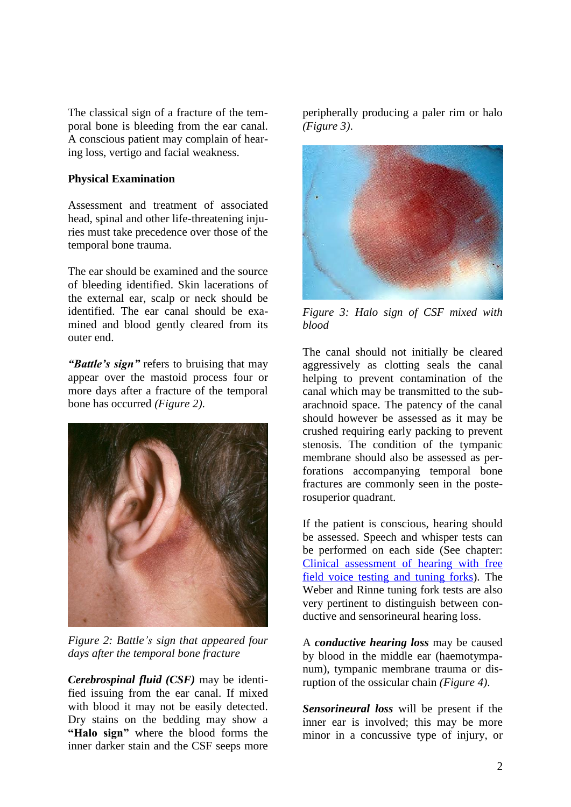The classical sign of a fracture of the temporal bone is bleeding from the ear canal. A conscious patient may complain of hearing loss, vertigo and facial weakness.

#### **Physical Examination**

Assessment and treatment of associated head, spinal and other life-threatening injuries must take precedence over those of the temporal bone trauma.

The ear should be examined and the source of bleeding identified. Skin lacerations of the external ear, scalp or neck should be identified. The ear canal should be examined and blood gently cleared from its outer end.

*"Battle's sign"* refers to bruising that may appear over the mastoid process four or more days after a fracture of the temporal bone has occurred *(Figure 2)*.



*Figure 2: Battle's sign that appeared four days after the temporal bone fracture* 

*Cerebrospinal fluid (CSF)* may be identified issuing from the ear canal. If mixed with blood it may not be easily detected. Dry stains on the bedding may show a **"Halo sign"** where the blood forms the inner darker stain and the CSF seeps more

peripherally producing a paler rim or halo *(Figure 3)*.



*Figure 3: Halo sign of CSF mixed with blood*

The canal should not initially be cleared aggressively as clotting seals the canal helping to prevent contamination of the canal which may be transmitted to the subarachnoid space. The patency of the canal should however be assessed as it may be crushed requiring early packing to prevent stenosis. The condition of the tympanic membrane should also be assessed as perforations accompanying temporal bone fractures are commonly seen in the posterosuperior quadrant.

If the patient is conscious, hearing should be assessed. Speech and whisper tests can be performed on each side (See chapter: Clinical [assessment](https://vula.uct.ac.za/access/content/group/27b5cb1b-1b65-4280-9437-a9898ddd4c40/Clinical%20assessment%20of%20hearing%20with%20free%20field%20voice%20testing%20and%20tuning%20forks.pdf) of hearing with free field voice [testing](https://vula.uct.ac.za/access/content/group/27b5cb1b-1b65-4280-9437-a9898ddd4c40/Clinical%20assessment%20of%20hearing%20with%20free%20field%20voice%20testing%20and%20tuning%20forks.pdf) and tuning forks). The Weber and Rinne tuning fork tests are also very pertinent to distinguish between conductive and sensorineural hearing loss.

A *conductive hearing loss* may be caused by blood in the middle ear (haemotympanum), tympanic membrane trauma or disruption of the ossicular chain *(Figure 4)*.

*Sensorineural loss* will be present if the inner ear is involved; this may be more minor in a concussive type of injury, or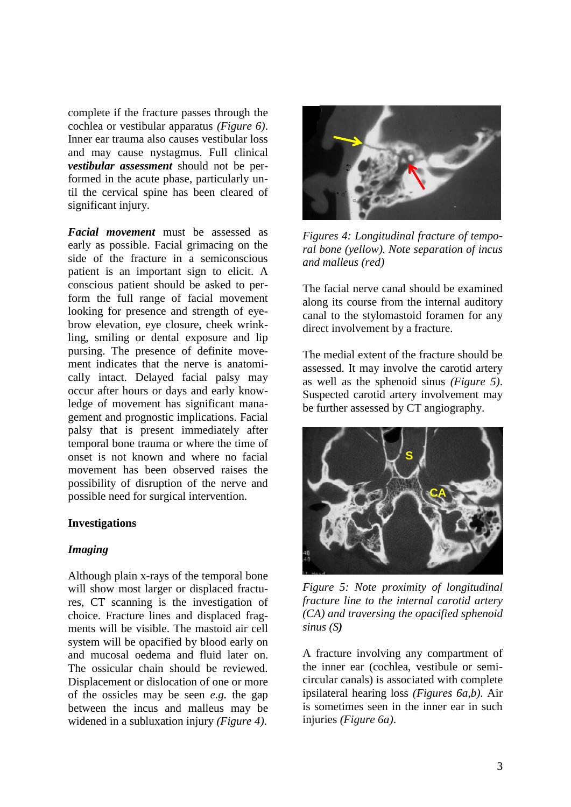complete if the fracture passes through the cochlea or vestibular apparatus *(Figure 6)*. Inner ear trauma also causes vestibular loss and may cause nystagmus. Full clinical *vestibular assessment* should not be performed in the acute phase, particularly until the cervical spine has been cleared of significant injury.

*Facial movement* must be assessed as early as possible. Facial grimacing on the side of the fracture in a semiconscious patient is an important sign to elicit. A conscious patient should be asked to perform the full range of facial movement looking for presence and strength of eyebrow elevation, eye closure, cheek wrinkling, smiling or dental exposure and lip pursing. The presence of definite movement indicates that the nerve is anatomically intact. Delayed facial palsy may occur after hours or days and early knowledge of movement has significant management and prognostic implications. Facial palsy that is present immediately after temporal bone trauma or where the time of onset is not known and where no facial movement has been observed raises the possibility of disruption of the nerve and possible need for surgical intervention.

#### **Investigations**

#### *Imaging*

Although plain x-rays of the temporal bone will show most larger or displaced fractures, CT scanning is the investigation of choice. Fracture lines and displaced fragments will be visible. The mastoid air cell system will be opacified by blood early on and mucosal oedema and fluid later on. The ossicular chain should be reviewed. Displacement or dislocation of one or more of the ossicles may be seen *e.g.* the gap between the incus and malleus may be widened in a subluxation injury *(Figure 4)*.



*Figures 4: Longitudinal fracture of temporal bone (yellow). Note separation of incus and malleus (red)*

The facial nerve canal should be examined along its course from the internal auditory canal to the stylomastoid foramen for any direct involvement by a fracture.

The medial extent of the fracture should be assessed. It may involve the carotid artery as well as the sphenoid sinus *(Figure 5)*. Suspected carotid artery involvement may be further assessed by CT angiography.



*Figure 5: Note proximity of longitudinal fracture line to the internal carotid artery (CA) and traversing the opacified sphenoid sinus (S)*

A fracture involving any compartment of the inner ear (cochlea, vestibule or semicircular canals) is associated with complete ipsilateral hearing loss *(Figures 6a,b)*. Air is sometimes seen in the inner ear in such injuries *(Figure 6a)*.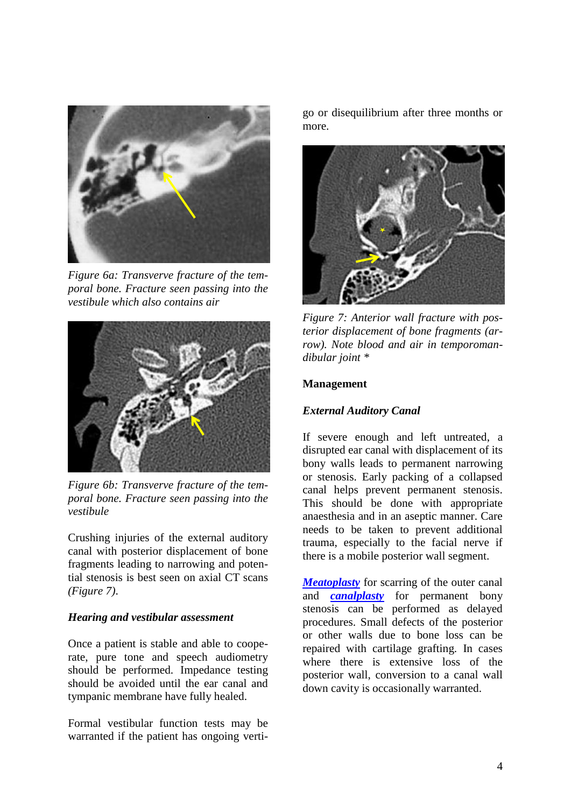

*Figure 6a: Transverve fracture of the temporal bone. Fracture seen passing into the vestibule which also contains air*



*Figure 6b: Transverve fracture of the temporal bone. Fracture seen passing into the vestibule*

Crushing injuries of the external auditory canal with posterior displacement of bone fragments leading to narrowing and potential stenosis is best seen on axial CT scans *(Figure 7)*.

#### *Hearing and vestibular assessment*

Once a patient is stable and able to cooperate, pure tone and speech audiometry should be performed. Impedance testing should be avoided until the ear canal and tympanic membrane have fully healed.

Formal vestibular function tests may be warranted if the patient has ongoing vertigo or disequilibrium after three months or more.



*Figure 7: Anterior wall fracture with posterior displacement of bone fragments (arrow). Note blood and air in temporomandibular joint \**

#### **Management**

#### *External Auditory Canal*

If severe enough and left untreated, a disrupted ear canal with displacement of its bony walls leads to permanent narrowing or stenosis. Early packing of a collapsed canal helps prevent permanent stenosis. This should be done with appropriate anaesthesia and in an aseptic manner. Care needs to be taken to prevent additional trauma, especially to the facial nerve if there is a mobile posterior wall segment.

*[Meatoplasty](https://vula.uct.ac.za/access/content/group/ba5fb1bd-be95-48e5-81be-586fbaeba29d/Meatoplasty.pdf)* for scarring of the outer canal and *[canalplasty](https://vula.uct.ac.za/access/content/group/ba5fb1bd-be95-48e5-81be-586fbaeba29d/Canalplasty%20for%20Exostosis.pdf)* for permanent bony stenosis can be performed as delayed procedures. Small defects of the posterior or other walls due to bone loss can be repaired with cartilage grafting. In cases where there is extensive loss of the posterior wall, conversion to a canal wall down cavity is occasionally warranted.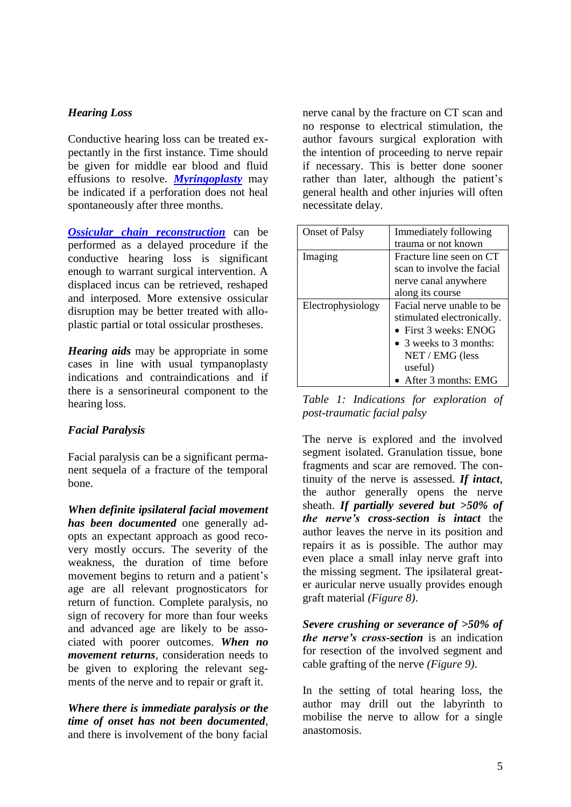# *Hearing Loss*

Conductive hearing loss can be treated expectantly in the first instance. Time should be given for middle ear blood and fluid effusions to resolve. *[Myringoplasty](https://vula.uct.ac.za/access/content/group/ba5fb1bd-be95-48e5-81be-586fbaeba29d/Myringoplasty%20and%20tympanoplasty.pdf)* may be indicated if a perforation does not heal spontaneously after three months.

*[Ossicular chain reconstruction](https://vula.uct.ac.za/access/content/group/ba5fb1bd-be95-48e5-81be-586fbaeba29d/Ossiculoplasty.pdf)* can be performed as a delayed procedure if the conductive hearing loss is significant enough to warrant surgical intervention. A displaced incus can be retrieved, reshaped and interposed. More extensive ossicular disruption may be better treated with alloplastic partial or total ossicular prostheses.

*Hearing aids* may be appropriate in some cases in line with usual tympanoplasty indications and contraindications and if there is a sensorineural component to the hearing loss.

# *Facial Paralysis*

Facial paralysis can be a significant permanent sequela of a fracture of the temporal bone.

*When definite ipsilateral facial movement has been documented* one generally adopts an expectant approach as good recovery mostly occurs. The severity of the weakness, the duration of time before movement begins to return and a patient's age are all relevant prognosticators for return of function. Complete paralysis, no sign of recovery for more than four weeks and advanced age are likely to be associated with poorer outcomes. *When no movement returns*, consideration needs to be given to exploring the relevant segments of the nerve and to repair or graft it.

*Where there is immediate paralysis or the time of onset has not been documented*, and there is involvement of the bony facial

nerve canal by the fracture on CT scan and no response to electrical stimulation, the author favours surgical exploration with the intention of proceeding to nerve repair if necessary. This is better done sooner rather than later, although the patient's general health and other injuries will often necessitate delay.

| <b>Onset of Palsy</b> | Immediately following      |
|-----------------------|----------------------------|
|                       | trauma or not known        |
| Imaging               | Fracture line seen on CT   |
|                       | scan to involve the facial |
|                       | nerve canal anywhere       |
|                       | along its course           |
| Electrophysiology     | Facial nerve unable to be  |
|                       | stimulated electronically. |
|                       | • First $3$ weeks: ENOG    |
|                       | • 3 weeks to 3 months:     |
|                       | $NET / EMG$ (less          |
|                       | useful)                    |
|                       | • After 3 months: $EMG$    |

*Table 1: Indications for exploration of post-traumatic facial palsy*

The nerve is explored and the involved segment isolated. Granulation tissue, bone fragments and scar are removed. The continuity of the nerve is assessed. *If intact*, the author generally opens the nerve sheath. *If partially severed but >50% of the nerve's cross-section is intact* the author leaves the nerve in its position and repairs it as is possible. The author may even place a small inlay nerve graft into the missing segment. The ipsilateral greater auricular nerve usually provides enough graft material *(Figure 8)*.

*Severe crushing or severance of >50% of the nerve's cross-section* is an indication for resection of the involved segment and cable grafting of the nerve *(Figure 9)*.

In the setting of total hearing loss, the author may drill out the labyrinth to mobilise the nerve to allow for a single anastomosis.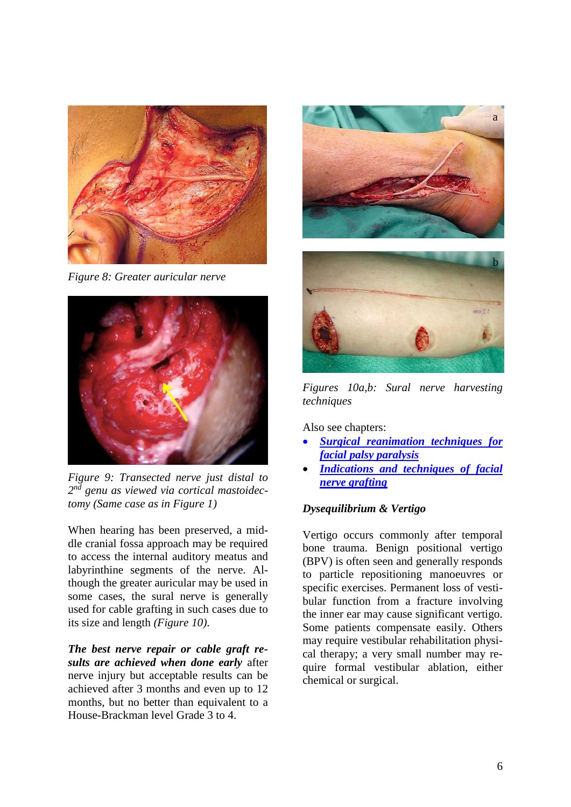

*Figure 8: Greater auricular nerve* 



*Figure 9: Transected nerve just distal to 2 nd genu as viewed via cortical mastoidectomy (Same case as in Figure 1)*

When hearing has been preserved, a middle cranial fossa approach may be required to access the internal auditory meatus and labyrinthine segments of the nerve. Although the greater auricular may be used in some cases, the sural nerve is generally used for cable grafting in such cases due to its size and length *(Figure 10)*.

*The best nerve repair or cable graft results are achieved when done early* after nerve injury but acceptable results can be achieved after 3 months and even up to 12 months, but no better than equivalent to a House-Brackman level Grade 3 to 4.





*Figures 10a,b: Sural nerve harvesting techniques*

Also see chapters:

- *[Surgical reanimation techniques for](https://vula.uct.ac.za/access/content/group/ba5fb1bd-be95-48e5-81be-586fbaeba29d/Surgical%20reanimation%20techniques%20for%20facial%20palsy%20_paralysis_.pdf)  [facial palsy paralysis](https://vula.uct.ac.za/access/content/group/ba5fb1bd-be95-48e5-81be-586fbaeba29d/Surgical%20reanimation%20techniques%20for%20facial%20palsy%20_paralysis_.pdf)*
- *[Indications and techniques of facial](https://vula.uct.ac.za/access/content/group/ba5fb1bd-be95-48e5-81be-586fbaeba29d/Indications%20and%20techniques%20of%20facial%20nerve%20grafting.pdf)  [nerve grafting](https://vula.uct.ac.za/access/content/group/ba5fb1bd-be95-48e5-81be-586fbaeba29d/Indications%20and%20techniques%20of%20facial%20nerve%20grafting.pdf)*

# *Dysequilibrium & Vertigo*

Vertigo occurs commonly after temporal bone trauma. Benign positional vertigo (BPV) is often seen and generally responds to particle repositioning manoeuvres or specific exercises. Permanent loss of vestibular function from a fracture involving the inner ear may cause significant vertigo. Some patients compensate easily. Others may require vestibular rehabilitation physical therapy; a very small number may require formal vestibular ablation, either chemical or surgical.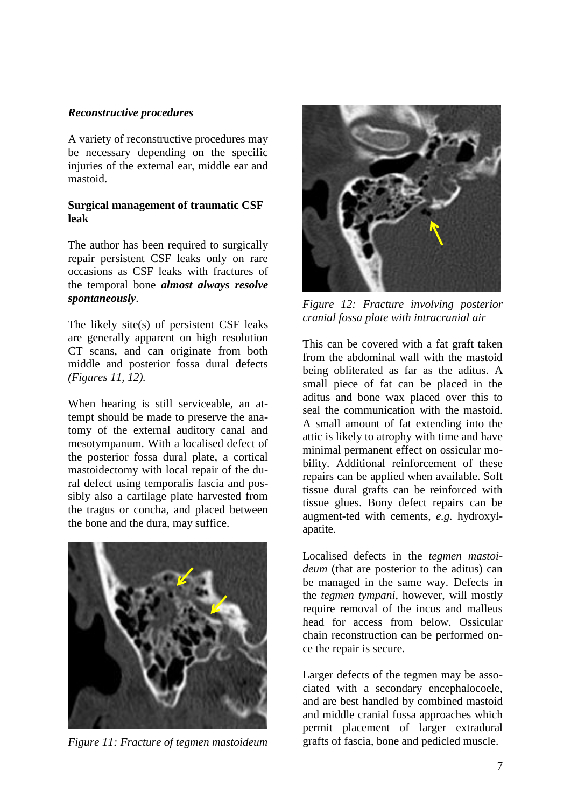#### *Reconstructive procedures*

A variety of reconstructive procedures may be necessary depending on the specific injuries of the external ear, middle ear and mastoid.

### **Surgical management of traumatic CSF leak**

The author has been required to surgically repair persistent CSF leaks only on rare occasions as CSF leaks with fractures of the temporal bone *almost always resolve spontaneously*.

The likely site(s) of persistent CSF leaks are generally apparent on high resolution CT scans, and can originate from both middle and posterior fossa dural defects *(Figures 11, 12).*

When hearing is still serviceable, an attempt should be made to preserve the anatomy of the external auditory canal and mesotympanum. With a localised defect of the posterior fossa dural plate, a cortical mastoidectomy with local repair of the dural defect using temporalis fascia and possibly also a cartilage plate harvested from the tragus or concha, and placed between the bone and the dura, may suffice.



*Figure 11: Fracture of tegmen mastoideum*



*Figure 12: Fracture involving posterior cranial fossa plate with intracranial air*

This can be covered with a fat graft taken from the abdominal wall with the mastoid being obliterated as far as the aditus. A small piece of fat can be placed in the aditus and bone wax placed over this to seal the communication with the mastoid. A small amount of fat extending into the attic is likely to atrophy with time and have minimal permanent effect on ossicular mobility. Additional reinforcement of these repairs can be applied when available. Soft tissue dural grafts can be reinforced with tissue glues. Bony defect repairs can be augment-ted with cements, *e.g.* hydroxylapatite.

Localised defects in the *tegmen mastoideum* (that are posterior to the aditus) can be managed in the same way. Defects in the *tegmen tympani*, however, will mostly require removal of the incus and malleus head for access from below. Ossicular chain reconstruction can be performed once the repair is secure.

Larger defects of the tegmen may be associated with a secondary encephalocoele, and are best handled by combined mastoid and middle cranial fossa approaches which permit placement of larger extradural grafts of fascia, bone and pedicled muscle.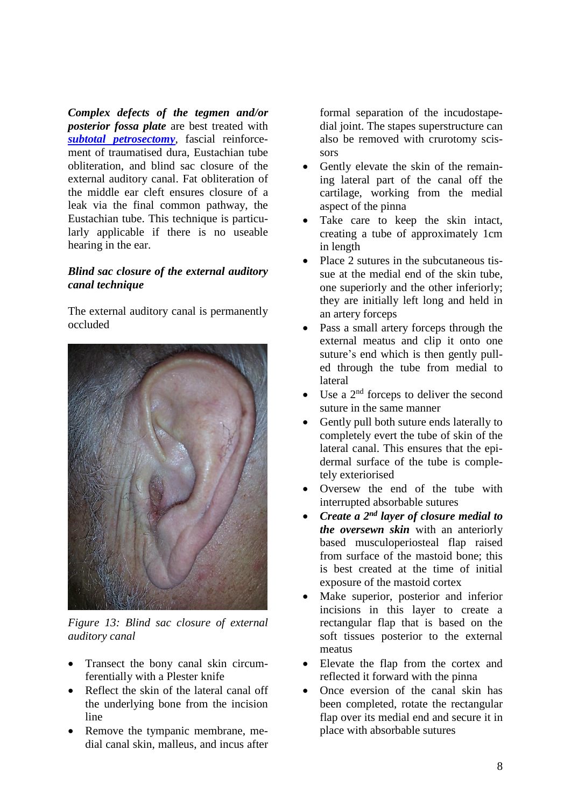*Complex defects of the tegmen and/or posterior fossa plate* are best treated with *[subtotal petrosectomy](https://vula.uct.ac.za/access/content/group/ba5fb1bd-be95-48e5-81be-586fbaeba29d/Subtotal%20petrosectomy.pdf)*, fascial reinforcement of traumatised dura, Eustachian tube obliteration, and blind sac closure of the external auditory canal. Fat obliteration of the middle ear cleft ensures closure of a leak via the final common pathway, the Eustachian tube. This technique is particularly applicable if there is no useable hearing in the ear.

# *Blind sac closure of the external auditory canal technique*

The external auditory canal is permanently occluded



*Figure 13: Blind sac closure of external auditory canal*

- Transect the bony canal skin circumferentially with a Plester knife
- Reflect the skin of the lateral canal off the underlying bone from the incision line
- Remove the tympanic membrane, medial canal skin, malleus, and incus after

formal separation of the incudostapedial joint. The stapes superstructure can also be removed with crurotomy scissors

- Gently elevate the skin of the remaining lateral part of the canal off the cartilage, working from the medial aspect of the pinna
- Take care to keep the skin intact, creating a tube of approximately 1cm in length
- Place 2 sutures in the subcutaneous tissue at the medial end of the skin tube, one superiorly and the other inferiorly; they are initially left long and held in an artery forceps
- Pass a small artery forceps through the external meatus and clip it onto one suture's end which is then gently pulled through the tube from medial to lateral
- Use a  $2<sup>nd</sup>$  forceps to deliver the second suture in the same manner
- Gently pull both suture ends laterally to completely evert the tube of skin of the lateral canal. This ensures that the epidermal surface of the tube is completely exteriorised
- Oversew the end of the tube with interrupted absorbable sutures
- *Create a 2 nd layer of closure medial to the oversewn skin* with an anteriorly based musculoperiosteal flap raised from surface of the mastoid bone; this is best created at the time of initial exposure of the mastoid cortex
- Make superior, posterior and inferior incisions in this layer to create a rectangular flap that is based on the soft tissues posterior to the external meatus
- Elevate the flap from the cortex and reflected it forward with the pinna
- Once eversion of the canal skin has been completed, rotate the rectangular flap over its medial end and secure it in place with absorbable sutures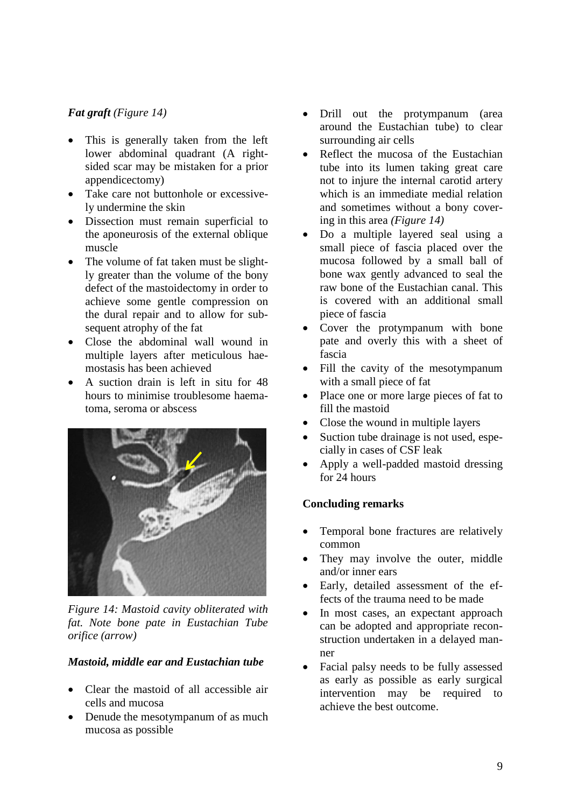# *Fat graft (Figure 14)*

- This is generally taken from the left lower abdominal quadrant (A rightsided scar may be mistaken for a prior appendicectomy)
- Take care not buttonhole or excessively undermine the skin
- Dissection must remain superficial to the aponeurosis of the external oblique muscle
- The volume of fat taken must be slightly greater than the volume of the bony defect of the mastoidectomy in order to achieve some gentle compression on the dural repair and to allow for subsequent atrophy of the fat
- Close the abdominal wall wound in multiple layers after meticulous haemostasis has been achieved
- A suction drain is left in situ for 48 hours to minimise troublesome haematoma, seroma or abscess



*Figure 14: Mastoid cavity obliterated with fat. Note bone pate in Eustachian Tube orifice (arrow)*

# *Mastoid, middle ear and Eustachian tube*

- Clear the mastoid of all accessible air cells and mucosa
- Denude the mesotympanum of as much mucosa as possible
- Drill out the protympanum (area around the Eustachian tube) to clear surrounding air cells
- Reflect the mucosa of the Eustachian tube into its lumen taking great care not to injure the internal carotid artery which is an immediate medial relation and sometimes without a bony covering in this area *(Figure 14)*
- Do a multiple layered seal using a small piece of fascia placed over the mucosa followed by a small ball of bone wax gently advanced to seal the raw bone of the Eustachian canal. This is covered with an additional small piece of fascia
- Cover the protympanum with bone pate and overly this with a sheet of fascia
- Fill the cavity of the mesotympanum with a small piece of fat
- Place one or more large pieces of fat to fill the mastoid
- Close the wound in multiple layers
- Suction tube drainage is not used, especially in cases of CSF leak
- Apply a well-padded mastoid dressing for 24 hours

#### **Concluding remarks**

- Temporal bone fractures are relatively common
- They may involve the outer, middle and/or inner ears
- Early, detailed assessment of the effects of the trauma need to be made
- In most cases, an expectant approach can be adopted and appropriate reconstruction undertaken in a delayed manner
- Facial palsy needs to be fully assessed as early as possible as early surgical intervention may be required to achieve the best outcome.